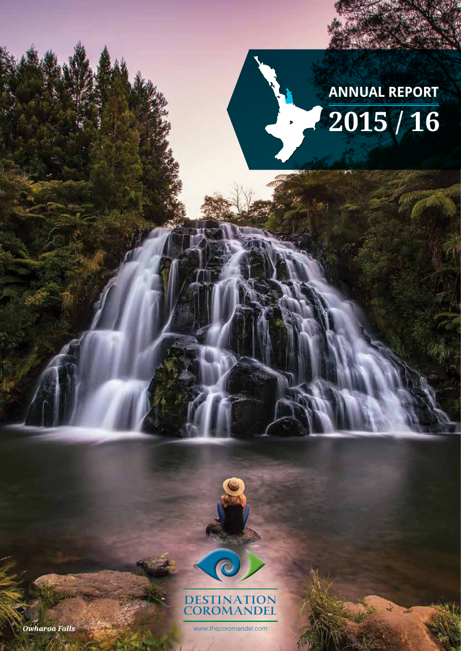

**CHAIRMAN'S** *report*



the visitor spend in our region. The Coromandel is also enjoying growth in international spend,

This year we launched a 10 year plan to grow visitor spend in line with national aspirations of the spending of Towards 2025. Product development, seasonality and the three points of the three points of the three points of focus that would help The Coromandel achieve its vision while also providing an efficient return

 $\mathcal{F}_\text{F}$  from an organisation to improve the structure and reporting the structure and reporting the structure and reporting the structure and reporting the structure and reporting the structure and reporting the str requirements will allow more time in the market place to lead discussions with our state of the market place o  $\alpha$  is that will have a true impact on our key performance indicators, and ultimately help help  $\alpha$ 

In committing funds for the next three years our key stakeholders, Thames Coromandel District Council and Hauraki District Council, demonstrated confidence in results activities and a desired and a desire

to, or above, the equivalent national measure for our region.

to grow tourism's economic contribution to The Coromandel.

beyond the national measure.

on investment to our stakeholders.

drive visitation to The Coromandel.



*Owharoa Falls*

Brent Page **Chairman** 

www.thecoromandel.com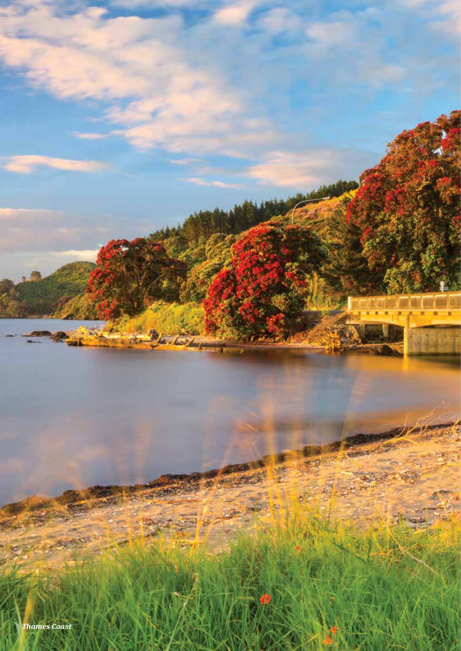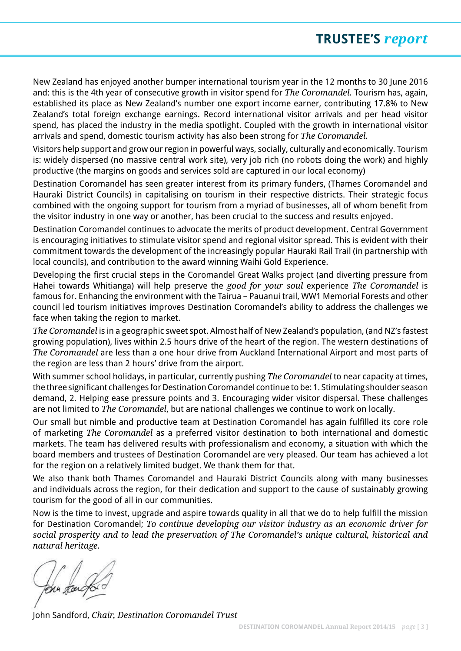New Zealand has enjoyed another bumper international tourism year in the 12 months to 30 June 2016 and: this is the 4th year of consecutive growth in visitor spend for *The Coromandel.* Tourism has, again, established its place as New Zealand's number one export income earner, contributing 17.8% to New Zealand's total foreign exchange earnings. Record international visitor arrivals and per head visitor spend, has placed the industry in the media spotlight. Coupled with the growth in international visitor arrivals and spend, domestic tourism activity has also been strong for *The Coromandel.* 

Visitors help support and grow our region in powerful ways, socially, culturally and economically. Tourism is: widely dispersed (no massive central work site), very job rich (no robots doing the work) and highly productive (the margins on goods and services sold are captured in our local economy)

Destination Coromandel has seen greater interest from its primary funders, (Thames Coromandel and Hauraki District Councils) in capitalising on tourism in their respective districts. Their strategic focus combined with the ongoing support for tourism from a myriad of businesses, all of whom benefit from the visitor industry in one way or another, has been crucial to the success and results enjoyed.

Destination Coromandel continues to advocate the merits of product development. Central Government is encouraging initiatives to stimulate visitor spend and regional visitor spread. This is evident with their commitment towards the development of the increasingly popular Hauraki Rail Trail (in partnership with local councils), and contribution to the award winning Waihi Gold Experience.

Developing the first crucial steps in the Coromandel Great Walks project (and diverting pressure from Hahei towards Whitianga) will help preserve the *good for your soul* experience *The Coromandel* is famous for. Enhancing the environment with the Tairua – Pauanui trail, WW1 Memorial Forests and other council led tourism initiatives improves Destination Coromandel's ability to address the challenges we face when taking the region to market.

*The Coromandel* is in a geographic sweet spot. Almost half of New Zealand's population, (and NZ's fastest growing population), lives within 2.5 hours drive of the heart of the region. The western destinations of *The Coromandel* are less than a one hour drive from Auckland International Airport and most parts of the region are less than 2 hours' drive from the airport.

With summer school holidays, in particular, currently pushing *The Coromandel* to near capacity at times, the three significant challenges for Destination Coromandel continue to be: 1. Stimulating shoulder season demand, 2. Helping ease pressure points and 3. Encouraging wider visitor dispersal. These challenges are not limited to *The Coromandel*, but are national challenges we continue to work on locally.

Our small but nimble and productive team at Destination Coromandel has again fulfilled its core role of marketing *The Coromandel* as a preferred visitor destination to both international and domestic markets. The team has delivered results with professionalism and economy, a situation with which the board members and trustees of Destination Coromandel are very pleased. Our team has achieved a lot for the region on a relatively limited budget. We thank them for that.

We also thank both Thames Coromandel and Hauraki District Councils along with many businesses and individuals across the region, for their dedication and support to the cause of sustainably growing tourism for the good of all in our communities.

Now is the time to invest, upgrade and aspire towards quality in all that we do to help fulfill the mission for Destination Coromandel; *To continue developing our visitor industry as an economic driver for social prosperity and to lead the preservation of The Coromandel's unique cultural, historical and natural heritage.*

OMM Ran

John Sandford, *Chair, Destination Coromandel Trust*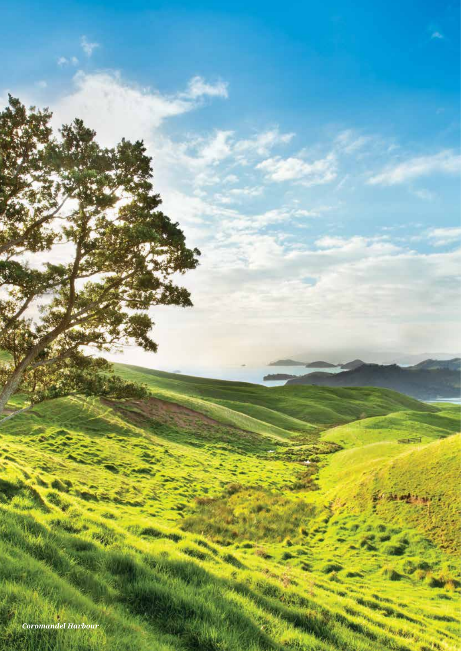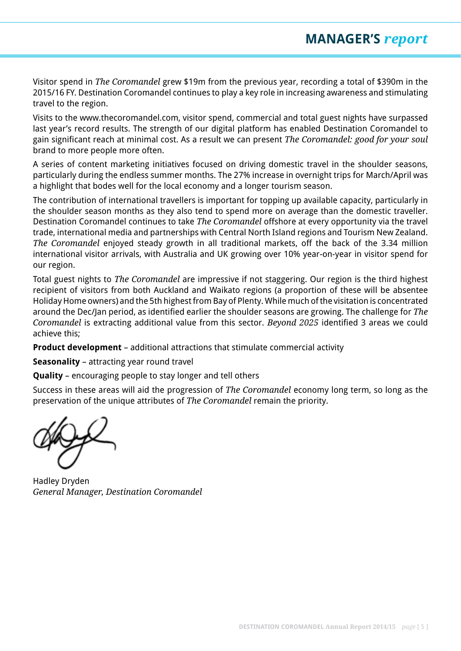Visitor spend in *The Coromandel* grew \$19m from the previous year, recording a total of \$390m in the 2015/16 FY. Destination Coromandel continues to play a key role in increasing awareness and stimulating travel to the region.

Visits to the www.thecoromandel.com, visitor spend, commercial and total guest nights have surpassed last year's record results. The strength of our digital platform has enabled Destination Coromandel to gain significant reach at minimal cost. As a result we can present *The Coromandel: good for your soul* brand to more people more often.

A series of content marketing initiatives focused on driving domestic travel in the shoulder seasons, particularly during the endless summer months. The 27% increase in overnight trips for March/April was a highlight that bodes well for the local economy and a longer tourism season.

The contribution of international travellers is important for topping up available capacity, particularly in the shoulder season months as they also tend to spend more on average than the domestic traveller. Destination Coromandel continues to take *The Coromandel* offshore at every opportunity via the travel trade, international media and partnerships with Central North Island regions and Tourism New Zealand. *The Coromandel* enjoyed steady growth in all traditional markets, off the back of the 3.34 million international visitor arrivals, with Australia and UK growing over 10% year-on-year in visitor spend for our region.

Total guest nights to *The Coromandel* are impressive if not staggering. Our region is the third highest recipient of visitors from both Auckland and Waikato regions (a proportion of these will be absentee Holiday Home owners) and the 5th highest from Bay of Plenty. While much of the visitation is concentrated around the Dec/Jan period, as identified earlier the shoulder seasons are growing. The challenge for *The Coromandel* is extracting additional value from this sector. *Beyond 2025* identified 3 areas we could achieve this;

**Product development** – additional attractions that stimulate commercial activity

**Seasonality** – attracting year round travel

**Quality** – encouraging people to stay longer and tell others

Success in these areas will aid the progression of *The Coromandel* economy long term, so long as the preservation of the unique attributes of *The Coromandel* remain the priority.

Hadley Dryden *General Manager, Destination Coromandel*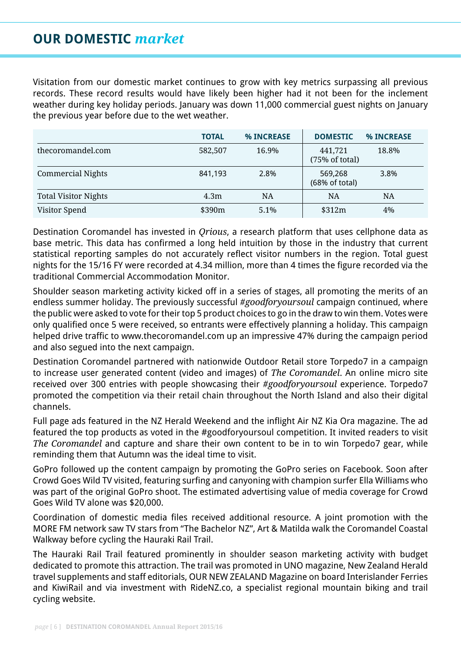# **OUR DOMESTIC** *market*

Visitation from our domestic market continues to grow with key metrics surpassing all previous records. These record results would have likely been higher had it not been for the inclement weather during key holiday periods. January was down 11,000 commercial guest nights on January the previous year before due to the wet weather.

|                             | <b>TOTAL</b> | <b>% INCREASE</b> | <b>DOMESTIC</b>           | <b>% INCREASE</b> |
|-----------------------------|--------------|-------------------|---------------------------|-------------------|
| thecoromandel.com           | 582,507      | 16.9%             | 441,721<br>(75% of total) | 18.8%             |
| Commercial Nights           | 841,193      | 2.8%              | 569,268<br>(68% of total) | 3.8%              |
| <b>Total Visitor Nights</b> | 4.3m         | NA                | <b>NA</b>                 | <b>NA</b>         |
| Visitor Spend               | \$390m       | 5.1%              | \$312m                    | 4%                |

Destination Coromandel has invested in *Qrious*, a research platform that uses cellphone data as base metric. This data has confirmed a long held intuition by those in the industry that current statistical reporting samples do not accurately reflect visitor numbers in the region. Total guest nights for the 15/16 FY were recorded at 4.34 million, more than 4 times the figure recorded via the traditional Commercial Accommodation Monitor.

Shoulder season marketing activity kicked off in a series of stages, all promoting the merits of an endless summer holiday. The previously successful *#goodforyoursoul* campaign continued, where the public were asked to vote for their top 5 product choices to go in the draw to win them. Votes were only qualified once 5 were received, so entrants were effectively planning a holiday. This campaign helped drive traffic to www.thecoromandel.com up an impressive 47% during the campaign period and also segued into the next campaign.

Destination Coromandel partnered with nationwide Outdoor Retail store Torpedo7 in a campaign to increase user generated content (video and images) of *The Coromandel*. An online micro site received over 300 entries with people showcasing their *#goodforyoursoul* experience. Torpedo7 promoted the competition via their retail chain throughout the North Island and also their digital channels.

Full page ads featured in the NZ Herald Weekend and the inflight Air NZ Kia Ora magazine. The ad featured the top products as voted in the #goodforyoursoul competition. It invited readers to visit *The Coromandel* and capture and share their own content to be in to win Torpedo7 gear, while reminding them that Autumn was the ideal time to visit.

GoPro followed up the content campaign by promoting the GoPro series on Facebook. Soon after Crowd Goes Wild TV visited, featuring surfing and canyoning with champion surfer Ella Williams who was part of the original GoPro shoot. The estimated advertising value of media coverage for Crowd Goes Wild TV alone was \$20,000.

Coordination of domestic media files received additional resource. A joint promotion with the MORE FM network saw TV stars from "The Bachelor NZ", Art & Matilda walk the Coromandel Coastal Walkway before cycling the Hauraki Rail Trail.

The Hauraki Rail Trail featured prominently in shoulder season marketing activity with budget dedicated to promote this attraction. The trail was promoted in UNO magazine, New Zealand Herald travel supplements and staff editorials, OUR NEW ZEALAND Magazine on board Interislander Ferries and KiwiRail and via investment with RideNZ.co, a specialist regional mountain biking and trail cycling website.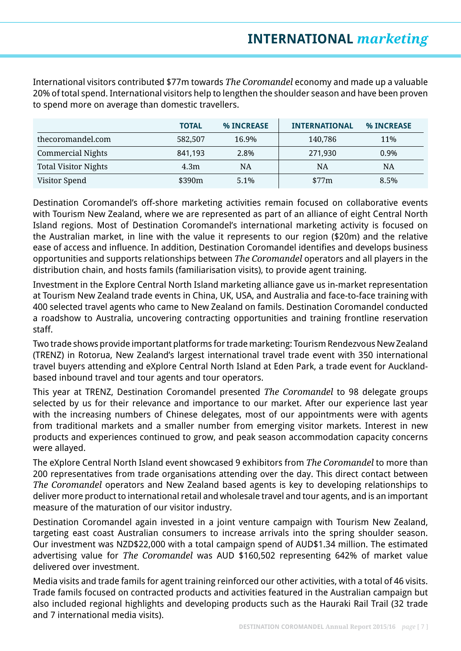International visitors contributed \$77m towards *The Coromandel* economy and made up a valuable 20% of total spend. International visitors help to lengthen the shoulder season and have been proven to spend more on average than domestic travellers.

|                             | <b>TOTAL</b> | % INCREASE | <b>INTERNATIONAL</b> | <b>% INCREASE</b> |
|-----------------------------|--------------|------------|----------------------|-------------------|
| thecoromandel.com           | 582,507      | 16.9%      | 140,786              | 11%               |
| <b>Commercial Nights</b>    | 841,193      | 2.8%       | 271,930              | 0.9%              |
| <b>Total Visitor Nights</b> | 4.3m         | NA         | <b>NA</b>            | <b>NA</b>         |
| Visitor Spend               | \$390m       | $5.1\%$    | \$77m                | 8.5%              |

Destination Coromandel's off-shore marketing activities remain focused on collaborative events with Tourism New Zealand, where we are represented as part of an alliance of eight Central North Island regions. Most of Destination Coromandel's international marketing activity is focused on the Australian market, in line with the value it represents to our region (\$20m) and the relative ease of access and influence. In addition, Destination Coromandel identifies and develops business opportunities and supports relationships between *The Coromandel* operators and all players in the distribution chain, and hosts famils (familiarisation visits), to provide agent training.

Investment in the Explore Central North Island marketing alliance gave us in-market representation at Tourism New Zealand trade events in China, UK, USA, and Australia and face-to-face training with 400 selected travel agents who came to New Zealand on famils. Destination Coromandel conducted a roadshow to Australia, uncovering contracting opportunities and training frontline reservation staff.

Two trade shows provide important platforms for trade marketing: Tourism Rendezvous New Zealand (TRENZ) in Rotorua, New Zealand's largest international travel trade event with 350 international travel buyers attending and eXplore Central North Island at Eden Park, a trade event for Aucklandbased inbound travel and tour agents and tour operators.

This year at TRENZ, Destination Coromandel presented *The Coromandel* to 98 delegate groups selected by us for their relevance and importance to our market. After our experience last year with the increasing numbers of Chinese delegates, most of our appointments were with agents from traditional markets and a smaller number from emerging visitor markets. Interest in new products and experiences continued to grow, and peak season accommodation capacity concerns were allayed.

The eXplore Central North Island event showcased 9 exhibitors from *The Coromandel* to more than 200 representatives from trade organisations attending over the day. This direct contact between *The Coromandel* operators and New Zealand based agents is key to developing relationships to deliver more product to international retail and wholesale travel and tour agents, and is an important measure of the maturation of our visitor industry.

Destination Coromandel again invested in a joint venture campaign with Tourism New Zealand, targeting east coast Australian consumers to increase arrivals into the spring shoulder season. Our investment was NZD\$22,000 with a total campaign spend of AUD\$1.34 million. The estimated advertising value for *The Coromandel* was AUD \$160,502 representing 642% of market value delivered over investment.

Media visits and trade famils for agent training reinforced our other activities, with a total of 46 visits. Trade famils focused on contracted products and activities featured in the Australian campaign but also included regional highlights and developing products such as the Hauraki Rail Trail (32 trade and 7 international media visits).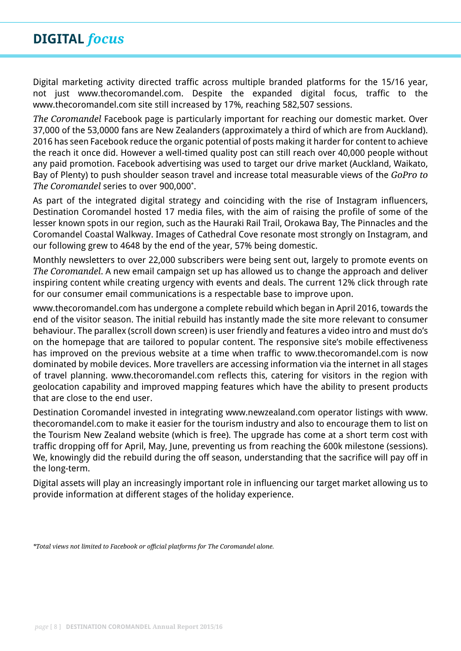# **DIGITAL** *focus*

Digital marketing activity directed traffic across multiple branded platforms for the 15/16 year, not just www.thecoromandel.com. Despite the expanded digital focus, traffic to the www.thecoromandel.com site still increased by 17%, reaching 582,507 sessions.

*The Coromandel* Facebook page is particularly important for reaching our domestic market. Over 37,000 of the 53,0000 fans are New Zealanders (approximately a third of which are from Auckland). 2016 has seen Facebook reduce the organic potential of posts making it harder for content to achieve the reach it once did. However a well-timed quality post can still reach over 40,000 people without any paid promotion. Facebook advertising was used to target our drive market (Auckland, Waikato, Bay of Plenty) to push shoulder season travel and increase total measurable views of the *GoPro to The Coromandel* series to over 900,000\* .

As part of the integrated digital strategy and coinciding with the rise of Instagram influencers, Destination Coromandel hosted 17 media files, with the aim of raising the profile of some of the lesser known spots in our region, such as the Hauraki Rail Trail, Orokawa Bay, The Pinnacles and the Coromandel Coastal Walkway. Images of Cathedral Cove resonate most strongly on Instagram, and our following grew to 4648 by the end of the year, 57% being domestic.

Monthly newsletters to over 22,000 subscribers were being sent out, largely to promote events on *The Coromandel*. A new email campaign set up has allowed us to change the approach and deliver inspiring content while creating urgency with events and deals. The current 12% click through rate for our consumer email communications is a respectable base to improve upon.

www.thecoromandel.com has undergone a complete rebuild which began in April 2016, towards the end of the visitor season. The initial rebuild has instantly made the site more relevant to consumer behaviour. The parallex (scroll down screen) is user friendly and features a video intro and must do's on the homepage that are tailored to popular content. The responsive site's mobile effectiveness has improved on the previous website at a time when traffic to www.thecoromandel.com is now dominated by mobile devices. More travellers are accessing information via the internet in all stages of travel planning. www.thecoromandel.com reflects this, catering for visitors in the region with geolocation capability and improved mapping features which have the ability to present products that are close to the end user.

Destination Coromandel invested in integrating www.newzealand.com operator listings with www. thecoromandel.com to make it easier for the tourism industry and also to encourage them to list on the Tourism New Zealand website (which is free). The upgrade has come at a short term cost with traffic dropping off for April, May, June, preventing us from reaching the 600k milestone (sessions). We, knowingly did the rebuild during the off season, understanding that the sacrifice will pay off in the long-term.

Digital assets will play an increasingly important role in influencing our target market allowing us to provide information at different stages of the holiday experience.

*<sup>\*</sup>Total views not limited to Facebook or official platforms for The Coromandel alone.*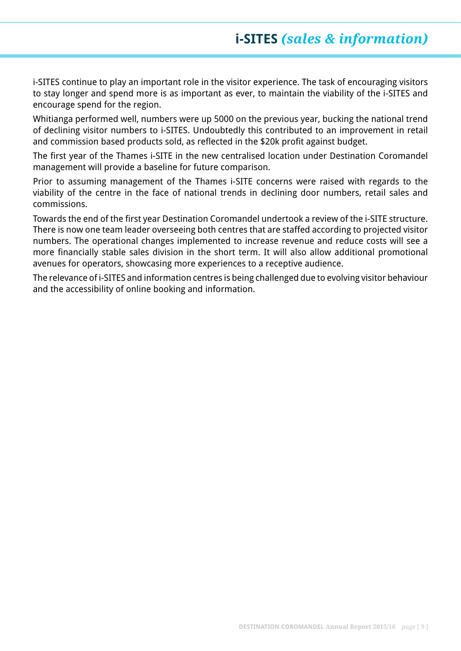# **i-SITES** *(sales & information)*

i-SITES continue to play an important role in the visitor experience. The task of encouraging visitors to stay longer and spend more is as important as ever, to maintain the viability of the i-SITES and encourage spend for the region.

Whitianga performed well, numbers were up 5000 on the previous year, bucking the national trend of declining visitor numbers to i-SITES. Undoubtedly this contributed to an improvement in retail and commission based products sold, as reflected in the \$20k profit against budget.

The first year of the Thames i-SITE in the new centralised location under Destination Coromandel management will provide a baseline for future comparison.

Prior to assuming management of the Thames i-SITE concerns were raised with regards to the viability of the centre in the face of national trends in declining door numbers, retail sales and commissions.

Towards the end of the first year Destination Coromandel undertook a review of the i-SITE structure. There is now one team leader overseeing both centres that are staffed according to projected visitor numbers. The operational changes implemented to increase revenue and reduce costs will see a more financially stable sales division in the short term. It will also allow additional promotional avenues for operators, showcasing more experiences to a receptive audience.

The relevance of i-SITES and information centres is being challenged due to evolving visitor behaviour and the accessibility of online booking and information.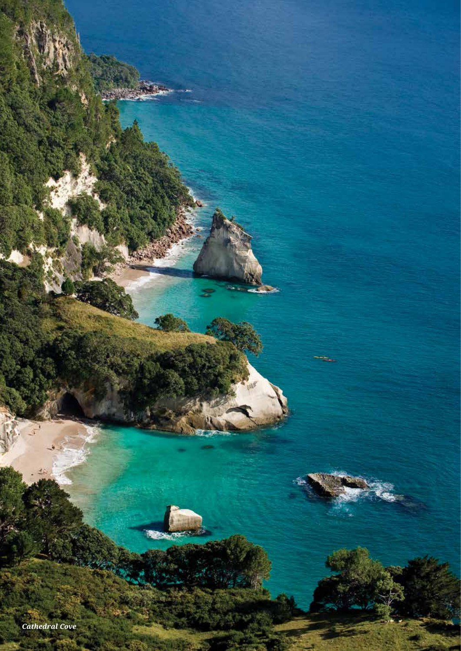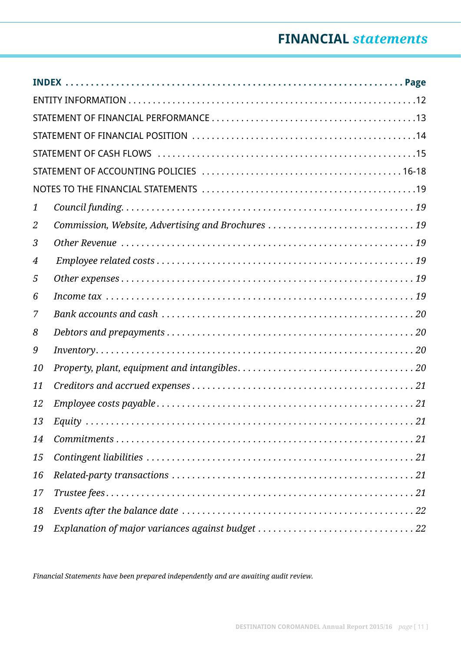# **FINANCIAL** *statements*

| $\mathbf{1}$ |                                                    |
|--------------|----------------------------------------------------|
| 2            | Commission, Website, Advertising and Brochures  19 |
| 3            |                                                    |
| 4            |                                                    |
| 5            |                                                    |
| 6            |                                                    |
| 7            |                                                    |
| 8            |                                                    |
| 9            |                                                    |
| 10           |                                                    |
| 11           |                                                    |
| 12           |                                                    |
| 13           | Equity<br>$\ldots$ . 21                            |
| 14           |                                                    |
| 15           |                                                    |
| 16           |                                                    |
| 17           |                                                    |
| 18           |                                                    |
| 19           |                                                    |

*Financial Statements have been prepared independently and are awaiting audit review.*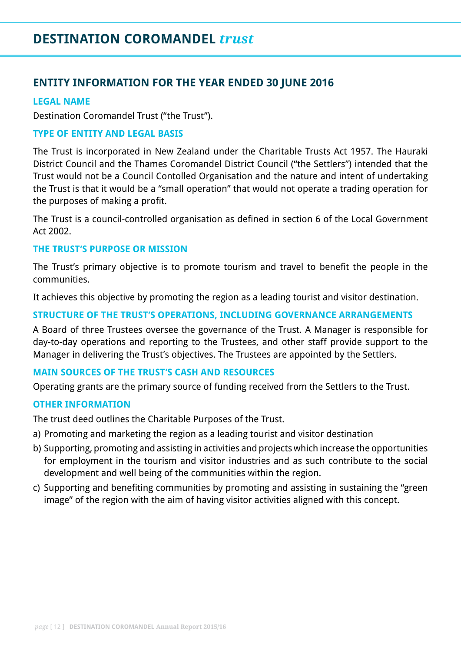## **ENTITY INFORMATION FOR THE YEAR ENDED 30 JUNE 2016**

### **LEGAL NAME**

Destination Coromandel Trust ("the Trust").

### **TYPE OF ENTITY AND LEGAL BASIS**

The Trust is incorporated in New Zealand under the Charitable Trusts Act 1957. The Hauraki District Council and the Thames Coromandel District Council ("the Settlers") intended that the Trust would not be a Council Contolled Organisation and the nature and intent of undertaking the Trust is that it would be a "small operation" that would not operate a trading operation for the purposes of making a profit.

The Trust is a council-controlled organisation as defined in section 6 of the Local Government Act 2002.

### **THE TRUST'S PURPOSE OR MISSION**

The Trust's primary objective is to promote tourism and travel to benefit the people in the communities.

It achieves this objective by promoting the region as a leading tourist and visitor destination.

### **STRUCTURE OF THE TRUST'S OPERATIONS, INCLUDING GOVERNANCE ARRANGEMENTS**

A Board of three Trustees oversee the governance of the Trust. A Manager is responsible for day-to-day operations and reporting to the Trustees, and other staff provide support to the Manager in delivering the Trust's objectives. The Trustees are appointed by the Settlers.

### **MAIN SOURCES OF THE TRUST'S CASH AND RESOURCES**

Operating grants are the primary source of funding received from the Settlers to the Trust.

#### **OTHER INFORMATION**

The trust deed outlines the Charitable Purposes of the Trust.

- a) Promoting and marketing the region as a leading tourist and visitor destination
- b) Supporting, promoting and assisting in activities and projects which increase the opportunities for employment in the tourism and visitor industries and as such contribute to the social development and well being of the communities within the region.
- c) Supporting and benefiting communities by promoting and assisting in sustaining the "green image" of the region with the aim of having visitor activities aligned with this concept.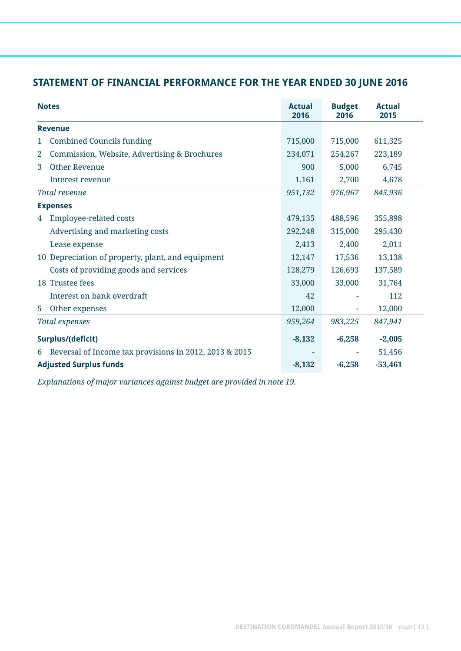## **STATEMENT OF FINANCIAL PERFORMANCE FOR THE YEAR ENDED 30 JUNE 2016**

|   | <b>Notes</b>                                           | <b>Actual</b><br>2016 | <b>Budget</b><br>2016 | <b>Actual</b><br>2015 |  |
|---|--------------------------------------------------------|-----------------------|-----------------------|-----------------------|--|
|   | <b>Revenue</b>                                         |                       |                       |                       |  |
| 1 | <b>Combined Councils funding</b>                       | 715,000               | 715,000               | 611,325               |  |
| 2 | Commission, Website, Advertising & Brochures           | 234,071               | 254,267               | 223,189               |  |
| 3 | <b>Other Revenue</b>                                   | 900                   | 5,000                 | 6,745                 |  |
|   | Interest revenue                                       | 1,161                 | 2,700                 | 4,678                 |  |
|   | Total revenue                                          | 951,132               | 976,967               | 845,936               |  |
|   | <b>Expenses</b>                                        |                       |                       |                       |  |
| 4 | <b>Employee-related costs</b>                          | 479,135               | 488,596               | 355,898               |  |
|   | Advertising and marketing costs                        | 292,248               | 315,000               | 295,430               |  |
|   | Lease expense                                          | 2,413                 | 2,400                 | 2,011                 |  |
|   | 10 Depreciation of property, plant, and equipment      | 12,147                | 17,536                | 13,138                |  |
|   | Costs of providing goods and services                  | 128,279               | 126,693               | 137,589               |  |
|   | 18 Trustee fees                                        | 33,000                | 33,000                | 31,764                |  |
|   | Interest on bank overdraft                             | 42                    |                       | 112                   |  |
| 5 | Other expenses                                         | 12,000                |                       | 12,000                |  |
|   | Total expenses                                         | 959,264               | 983,225               | 847,941               |  |
|   | Surplus/(deficit)                                      | $-8,132$              | $-6,258$              | $-2,005$              |  |
| 6 | Reversal of Income tax provisions in 2012, 2013 & 2015 |                       |                       | 51,456                |  |
|   | <b>Adjusted Surplus funds</b>                          | $-8,132$              | $-6,258$              | $-53,461$             |  |

*Explanations of major variances against budget are provided in note 19.*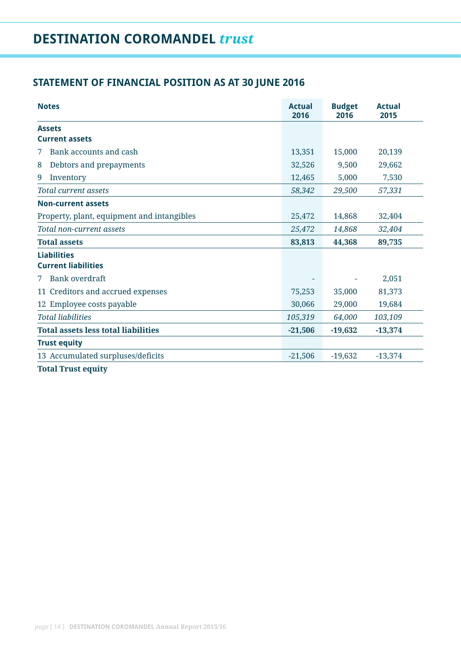## **STATEMENT OF FINANCIAL POSITION AS AT 30 JUNE 2016**

| <b>Notes</b>                               | <b>Actual</b><br>2016 | <b>Budget</b><br>2016 | <b>Actual</b><br>2015 |
|--------------------------------------------|-----------------------|-----------------------|-----------------------|
| <b>Assets</b>                              |                       |                       |                       |
| <b>Current assets</b>                      |                       |                       |                       |
| Bank accounts and cash<br>7                | 13,351                | 15,000                | 20,139                |
| Debtors and prepayments<br>8               | 32,526                | 9,500                 | 29,662                |
| 9<br>Inventory                             | 12,465                | 5,000                 | 7,530                 |
| <b>Total current assets</b>                | 58,342                | 29,500                | 57,331                |
| <b>Non-current assets</b>                  |                       |                       |                       |
| Property, plant, equipment and intangibles | 25,472                | 14,868                | 32,404                |
| Total non-current assets                   | 25,472                | 14,868                | 32,404                |
| <b>Total assets</b>                        | 83,813                | 44,368                | 89,735                |
| <b>Liabilities</b>                         |                       |                       |                       |
| <b>Current liabilities</b>                 |                       |                       |                       |
| <b>Bank</b> overdraft<br>7                 |                       |                       | 2,051                 |
| 11 Creditors and accrued expenses          | 75,253                | 35,000                | 81,373                |
| 12 Employee costs payable                  | 30,066                | 29,000                | 19,684                |
| <b>Total liabilities</b>                   | 105,319               | 64,000                | 103,109               |
| <b>Total assets less total liabilities</b> | $-21,506$             | $-19,632$             | $-13,374$             |
| <b>Trust equity</b>                        |                       |                       |                       |
| 13 Accumulated surpluses/deficits          | $-21,506$             | $-19,632$             | $-13,374$             |
|                                            |                       |                       |                       |

**Total Trust equity**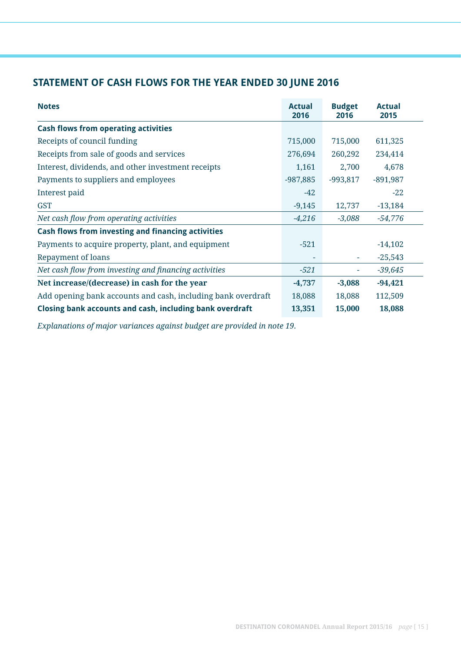## **STATEMENT OF CASH FLOWS FOR THE YEAR ENDED 30 JUNE 2016**

| <b>Notes</b>                                                 | <b>Actual</b><br>2016 | <b>Budget</b><br>2016 | <b>Actual</b><br>2015 |
|--------------------------------------------------------------|-----------------------|-----------------------|-----------------------|
| <b>Cash flows from operating activities</b>                  |                       |                       |                       |
| Receipts of council funding                                  | 715,000               | 715,000               | 611,325               |
| Receipts from sale of goods and services                     | 276,694               | 260,292               | 234,414               |
| Interest, dividends, and other investment receipts           | 1,161                 | 2,700                 | 4,678                 |
| Payments to suppliers and employees                          | $-987,885$            | $-993,817$            | $-891,987$            |
| Interest paid                                                | $-42$                 |                       | $-22$                 |
| <b>GST</b>                                                   | $-9,145$              | 12,737                | $-13,184$             |
| Net cash flow from operating activities                      | $-4,216$              | $-3,088$              | $-54,776$             |
| Cash flows from investing and financing activities           |                       |                       |                       |
| Payments to acquire property, plant, and equipment           | $-521$                |                       | $-14,102$             |
| Repayment of loans                                           |                       | ۰                     | $-25,543$             |
| Net cash flow from investing and financing activities        | $-521$                | ۰                     | $-39,645$             |
| Net increase/(decrease) in cash for the year                 | $-4,737$              | $-3,088$              | $-94,421$             |
| Add opening bank accounts and cash, including bank overdraft | 18,088                | 18,088                | 112,509               |
| Closing bank accounts and cash, including bank overdraft     | 13,351                | 15,000                | 18,088                |

*Explanations of major variances against budget are provided in note 19.*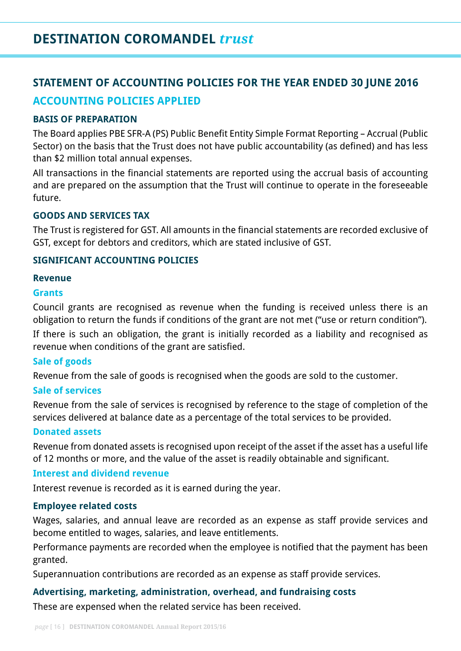# **STATEMENT OF ACCOUNTING POLICIES FOR THE YEAR ENDED 30 JUNE 2016 ACCOUNTING POLICIES APPLIED**

#### **BASIS OF PREPARATION**

The Board applies PBE SFR-A (PS) Public Benefit Entity Simple Format Reporting – Accrual (Public Sector) on the basis that the Trust does not have public accountability (as defined) and has less than \$2 million total annual expenses.

All transactions in the financial statements are reported using the accrual basis of accounting and are prepared on the assumption that the Trust will continue to operate in the foreseeable future.

#### **GOODS AND SERVICES TAX**

The Trust is registered for GST. All amounts in the financial statements are recorded exclusive of GST, except for debtors and creditors, which are stated inclusive of GST.

#### **SIGNIFICANT ACCOUNTING POLICIES**

#### **Revenue**

#### **Grants**

Council grants are recognised as revenue when the funding is received unless there is an obligation to return the funds if conditions of the grant are not met ("use or return condition"). If there is such an obligation, the grant is initially recorded as a liability and recognised as revenue when conditions of the grant are satisfied.

### **Sale of goods**

Revenue from the sale of goods is recognised when the goods are sold to the customer.

#### **Sale of services**

Revenue from the sale of services is recognised by reference to the stage of completion of the services delivered at balance date as a percentage of the total services to be provided.

#### **Donated assets**

Revenue from donated assets is recognised upon receipt of the asset if the asset has a useful life of 12 months or more, and the value of the asset is readily obtainable and significant.

### **Interest and dividend revenue**

Interest revenue is recorded as it is earned during the year.

#### **Employee related costs**

Wages, salaries, and annual leave are recorded as an expense as staff provide services and become entitled to wages, salaries, and leave entitlements.

Performance payments are recorded when the employee is notified that the payment has been granted.

Superannuation contributions are recorded as an expense as staff provide services.

### **Advertising, marketing, administration, overhead, and fundraising costs**

These are expensed when the related service has been received.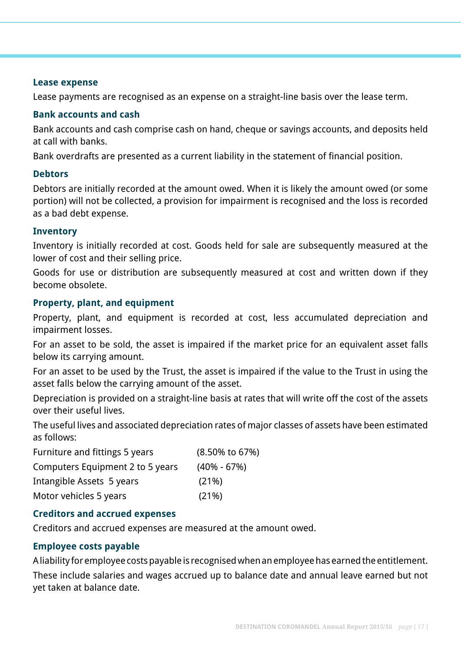#### **Lease expense**

Lease payments are recognised as an expense on a straight-line basis over the lease term.

#### **Bank accounts and cash**

Bank accounts and cash comprise cash on hand, cheque or savings accounts, and deposits held at call with banks.

Bank overdrafts are presented as a current liability in the statement of financial position.

#### **Debtors**

Debtors are initially recorded at the amount owed. When it is likely the amount owed (or some portion) will not be collected, a provision for impairment is recognised and the loss is recorded as a bad debt expense.

#### **Inventory**

Inventory is initially recorded at cost. Goods held for sale are subsequently measured at the lower of cost and their selling price.

Goods for use or distribution are subsequently measured at cost and written down if they become obsolete.

#### **Property, plant, and equipment**

Property, plant, and equipment is recorded at cost, less accumulated depreciation and impairment losses.

For an asset to be sold, the asset is impaired if the market price for an equivalent asset falls below its carrying amount.

For an asset to be used by the Trust, the asset is impaired if the value to the Trust in using the asset falls below the carrying amount of the asset.

Depreciation is provided on a straight-line basis at rates that will write off the cost of the assets over their useful lives.

The useful lives and associated depreciation rates of major classes of assets have been estimated as follows:

| Furniture and fittings 5 years   | (8.50% to 67%)  |
|----------------------------------|-----------------|
| Computers Equipment 2 to 5 years | $(40\% - 67\%)$ |
| Intangible Assets 5 years        | (21%)           |
| Motor vehicles 5 years           | (21%)           |

### **Creditors and accrued expenses**

Creditors and accrued expenses are measured at the amount owed.

### **Employee costs payable**

A liability for employee costs payable is recognised when an employee has earned the entitlement. These include salaries and wages accrued up to balance date and annual leave earned but not yet taken at balance date.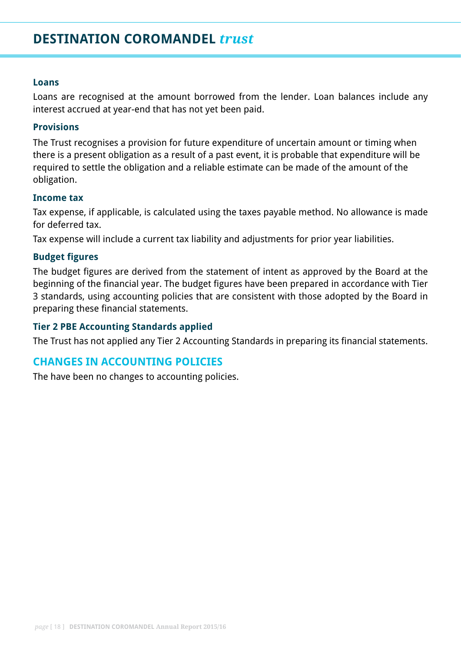# **DESTINATION COROMANDEL** *trust*

#### **Loans**

Loans are recognised at the amount borrowed from the lender. Loan balances include any interest accrued at year-end that has not yet been paid.

#### **Provisions**

The Trust recognises a provision for future expenditure of uncertain amount or timing when there is a present obligation as a result of a past event, it is probable that expenditure will be required to settle the obligation and a reliable estimate can be made of the amount of the obligation.

#### **Income tax**

Tax expense, if applicable, is calculated using the taxes payable method. No allowance is made for deferred tax.

Tax expense will include a current tax liability and adjustments for prior year liabilities.

#### **Budget figures**

The budget figures are derived from the statement of intent as approved by the Board at the beginning of the financial year. The budget figures have been prepared in accordance with Tier 3 standards, using accounting policies that are consistent with those adopted by the Board in preparing these financial statements.

#### **Tier 2 PBE Accounting Standards applied**

The Trust has not applied any Tier 2 Accounting Standards in preparing its financial statements.

### **CHANGES IN ACCOUNTING POLICIES**

The have been no changes to accounting policies.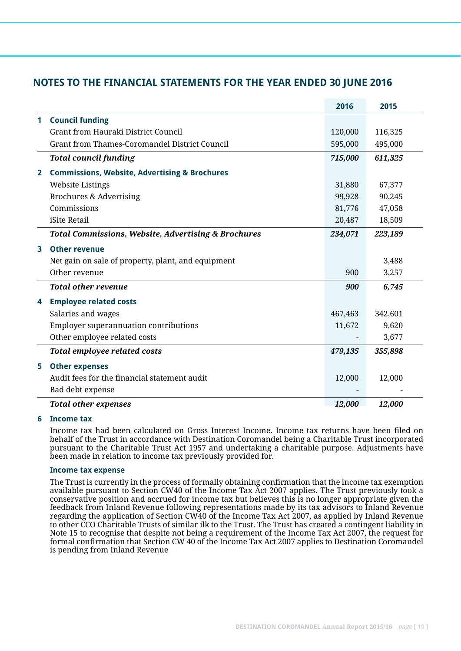### **NOTES TO THE FINANCIAL STATEMENTS FOR THE YEAR ENDED 30 JUNE 2016**

|              |                                                                | 2016    | 2015    |
|--------------|----------------------------------------------------------------|---------|---------|
| 1            | <b>Council funding</b>                                         |         |         |
|              | <b>Grant from Hauraki District Council</b>                     | 120,000 | 116,325 |
|              | Grant from Thames-Coromandel District Council                  | 595,000 | 495,000 |
|              | <b>Total council funding</b>                                   | 715,000 | 611,325 |
| $\mathbf{2}$ | <b>Commissions, Website, Advertising &amp; Brochures</b>       |         |         |
|              | <b>Website Listings</b>                                        | 31,880  | 67,377  |
|              | <b>Brochures &amp; Advertising</b>                             | 99,928  | 90,245  |
|              | Commissions                                                    | 81,776  | 47,058  |
|              | iSite Retail                                                   | 20,487  | 18,509  |
|              | <b>Total Commissions, Website, Advertising &amp; Brochures</b> | 234,071 | 223,189 |
| 3            | <b>Other revenue</b>                                           |         |         |
|              | Net gain on sale of property, plant, and equipment             |         | 3,488   |
|              | Other revenue                                                  | 900     | 3,257   |
|              | <b>Total other revenue</b>                                     | 900     | 6,745   |
| 4            | <b>Employee related costs</b>                                  |         |         |
|              | Salaries and wages                                             | 467,463 | 342,601 |
|              | <b>Employer superannuation contributions</b>                   | 11,672  | 9,620   |
|              | Other employee related costs                                   |         | 3,677   |
|              | <b>Total employee related costs</b>                            | 479,135 | 355,898 |
| 5            | <b>Other expenses</b>                                          |         |         |
|              | Audit fees for the financial statement audit                   | 12,000  | 12,000  |
|              | Bad debt expense                                               |         |         |
|              | <b>Total other expenses</b>                                    | 12,000  | 12,000  |

#### **6 Income tax**

Income tax had been calculated on Gross Interest Income. Income tax returns have been filed on behalf of the Trust in accordance with Destination Coromandel being a Charitable Trust incorporated pursuant to the Charitable Trust Act 1957 and undertaking a charitable purpose. Adjustments have been made in relation to income tax previously provided for.

#### **Income tax expense**

 The Trust is currently in the process of formally obtaining confirmation that the income tax exemption available pursuant to Section CW40 of the Income Tax Act 2007 applies. The Trust previously took a conservative position and accrued for income tax but believes this is no longer appropriate given the feedback from Inland Revenue following representations made by its tax advisors to Inland Revenue regarding the application of Section CW40 of the Income Tax Act 2007, as applied by Inland Revenue to other CCO Charitable Trusts of similar ilk to the Trust. The Trust has created a contingent liability in Note 15 to recognise that despite not being a requirement of the Income Tax Act 2007, the request for formal confirmation that Section CW 40 of the Income Tax Act 2007 applies to Destination Coromandel is pending from Inland Revenue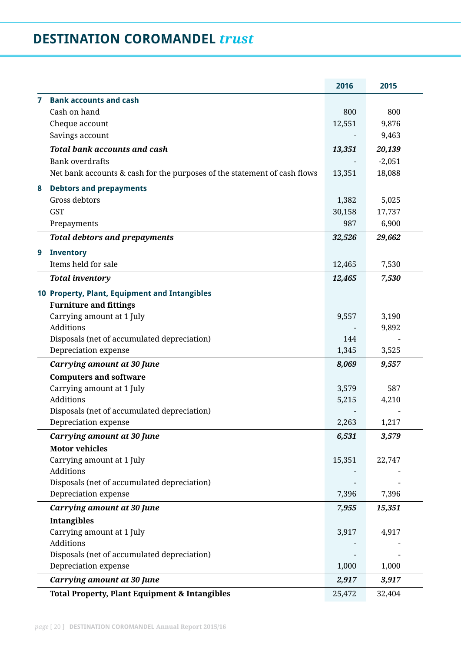# **DESTINATION COROMANDEL** *trust*

|                |                                                                          | 2016           | 2015         |
|----------------|--------------------------------------------------------------------------|----------------|--------------|
| $\overline{7}$ | <b>Bank accounts and cash</b>                                            |                |              |
|                | Cash on hand                                                             | 800            | 800          |
|                | Cheque account                                                           | 12,551         | 9,876        |
|                | Savings account                                                          |                | 9,463        |
|                | <b>Total bank accounts and cash</b>                                      | 13,351         | 20,139       |
|                | <b>Bank overdrafts</b>                                                   |                | $-2,051$     |
|                | Net bank accounts & cash for the purposes of the statement of cash flows | 13,351         | 18,088       |
| 8              | <b>Debtors and prepayments</b>                                           |                |              |
|                | Gross debtors                                                            | 1,382          | 5,025        |
|                | <b>GST</b>                                                               | 30,158         | 17,737       |
|                | Prepayments                                                              | 987            | 6,900        |
|                | <b>Total debtors and prepayments</b>                                     | 32,526         | 29,662       |
| 9              | <b>Inventory</b>                                                         |                |              |
|                | Items held for sale                                                      | 12,465         | 7,530        |
|                | <b>Total inventory</b>                                                   | 12,465         | 7,530        |
|                | 10 Property, Plant, Equipment and Intangibles                            |                |              |
|                | <b>Furniture and fittings</b>                                            |                |              |
|                | Carrying amount at 1 July                                                | 9,557          | 3,190        |
|                | Additions                                                                |                | 9,892        |
|                | Disposals (net of accumulated depreciation)                              | 144            |              |
|                | Depreciation expense                                                     | 1,345          | 3,525        |
|                | <b>Carrying amount at 30 June</b>                                        | 8,069          | 9,557        |
|                | <b>Computers and software</b>                                            |                |              |
|                | Carrying amount at 1 July<br><b>Additions</b>                            | 3,579<br>5,215 | 587<br>4,210 |
|                | Disposals (net of accumulated depreciation)                              |                |              |
|                | Depreciation expense                                                     | 2,263          | 1,217        |
|                | <b>Carrying amount at 30 June</b>                                        | 6,531          | 3,579        |
|                | <b>Motor vehicles</b>                                                    |                |              |
|                | Carrying amount at 1 July                                                | 15,351         | 22,747       |
|                | Additions                                                                |                |              |
|                | Disposals (net of accumulated depreciation)                              |                |              |
|                | Depreciation expense                                                     | 7,396          | 7,396        |
|                | Carrying amount at 30 June                                               | 7,955          | 15,351       |
|                | <b>Intangibles</b>                                                       |                |              |
|                | Carrying amount at 1 July                                                | 3,917          | 4,917        |
|                | <b>Additions</b>                                                         |                |              |
|                | Disposals (net of accumulated depreciation)                              |                |              |
|                | Depreciation expense                                                     | 1,000          | 1,000        |
|                | Carrying amount at 30 June                                               | 2,917          | 3,917        |
|                | <b>Total Property, Plant Equipment &amp; Intangibles</b>                 | 25,472         | 32,404       |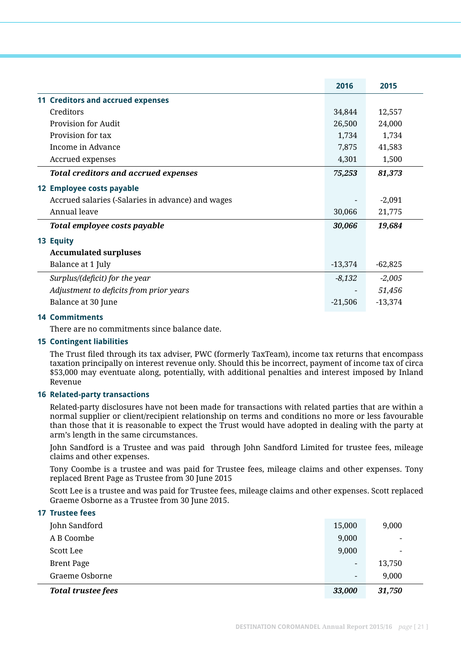|                                                   | 2016      | 2015      |
|---------------------------------------------------|-----------|-----------|
| 11 Creditors and accrued expenses                 |           |           |
| Creditors                                         | 34,844    | 12,557    |
| <b>Provision for Audit</b>                        | 26,500    | 24,000    |
| Provision for tax                                 | 1,734     | 1,734     |
| Income in Advance                                 | 7,875     | 41,583    |
| Accrued expenses                                  | 4,301     | 1,500     |
| <b>Total creditors and accrued expenses</b>       | 75,253    | 81,373    |
| 12 Employee costs payable                         |           |           |
| Accrued salaries (-Salaries in advance) and wages |           | $-2,091$  |
| Annual leave                                      | 30,066    | 21,775    |
| Total employee costs payable                      | 30,066    | 19,684    |
| 13 Equity                                         |           |           |
| <b>Accumulated surpluses</b>                      |           |           |
| Balance at 1 July                                 | $-13,374$ | $-62,825$ |
| Surplus/(deficit) for the year                    | $-8,132$  | $-2,005$  |
| Adjustment to deficits from prior years           |           | 51,456    |
| Balance at 30 June                                | $-21,506$ | $-13,374$ |

#### **14 Commitments**

**17 Trustee fees**

There are no commitments since balance date.

#### **15 Contingent liabilities**

The Trust filed through its tax adviser, PWC (formerly TaxTeam), income tax returns that encompass taxation principally on interest revenue only. Should this be incorrect, payment of income tax of circa \$53,000 may eventuate along, potentially, with additional penalties and interest imposed by Inland Revenue

#### **16 Related-party transactions**

 Related-party disclosures have not been made for transactions with related parties that are within a normal supplier or client/recipient relationship on terms and conditions no more or less favourable than those that it is reasonable to expect the Trust would have adopted in dealing with the party at arm's length in the same circumstances.

 John Sandford is a Trustee and was paid through John Sandford Limited for trustee fees, mileage claims and other expenses.

 Tony Coombe is a trustee and was paid for Trustee fees, mileage claims and other expenses. Tony replaced Brent Page as Trustee from 30 June 2015

 Scott Lee is a trustee and was paid for Trustee fees, mileage claims and other expenses. Scott replaced Graeme Osborne as a Trustee from 30 June 2015.

| <b>Total trustee fees</b> | 33,000                   | 31,750 |  |
|---------------------------|--------------------------|--------|--|
| Graeme Osborne            | $\overline{\phantom{a}}$ | 9,000  |  |
| <b>Brent Page</b>         | -                        | 13,750 |  |
| Scott Lee                 | 9,000                    |        |  |
| A B Coombe                | 9,000                    |        |  |
| John Sandford             | 15,000                   | 9,000  |  |
| <b>17 Trustee Tees</b>    |                          |        |  |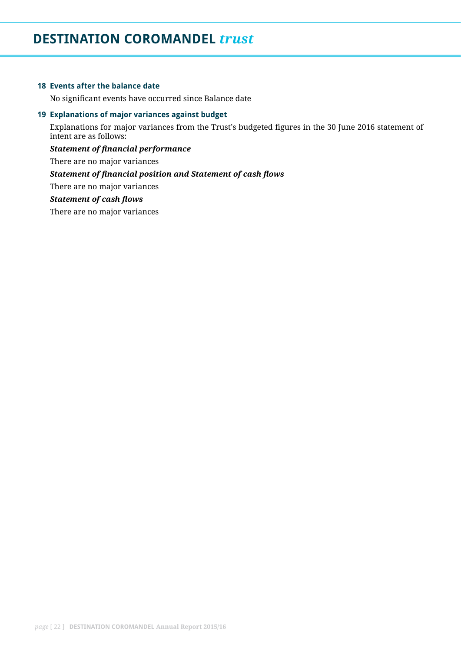# **DESTINATION COROMANDEL** *trust*

#### **18 Events after the balance date**

No significant events have occurred since Balance date

#### **19 Explanations of major variances against budget**

Explanations for major variances from the Trust's budgeted figures in the 30 June 2016 statement of intent are as follows:

*Statement of financial performance* There are no major variances *Statement of financial position and Statement of cash flows* There are no major variances *Statement of cash flows* There are no major variances